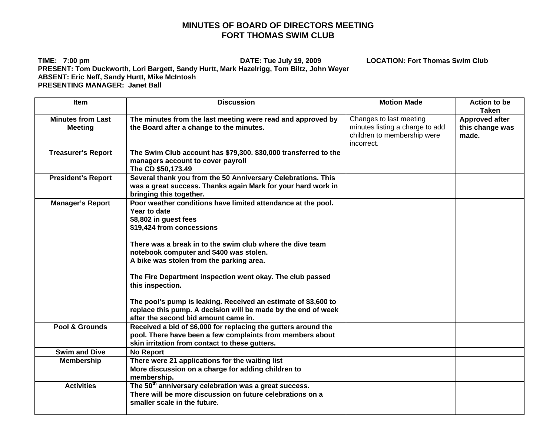## **MINUTES OF BOARD OF DIRECTORS MEETING FORT THOMAS SWIM CLUB**

**TIME: 7:00 pm DATE: Tue July 19, 2009 LOCATION: Fort Thomas Swim Club PRESENT: Tom Duckworth, Lori Bargett, Sandy Hurtt, Mark Hazelrigg, Tom Biltz, John Weyer ABSENT: Eric Neff, Sandy Hurtt, Mike McIntosh PRESENTING MANAGER: Janet Ball** 

Item Discussion Motion Made Action to be **Taken Minutes from Last Meeting The minutes from the last meeting were read and approved by the Board after a change to the minutes.**  Changes to last meeting minutes listing a charge to add children to membership were incorrect. **Approved after this change was made. Treasurer's Report The Swim Club account has \$79,300. \$30,000 transferred to the managers account to cover payroll The CD \$50,173.49 President's Report Several thank you from the 50 Anniversary Celebrations. This was a great success. Thanks again Mark for your hard work in bringing this together.**  Manager's Report **Poor weather conditions have limited attendance at the pool. Year to date \$8,802 in guest fees \$19,424 from concessions There was a break in to the swim club where the dive team notebook computer and \$400 was stolen. A bike was stolen from the parking area. The Fire Department inspection went okay. The club passed this inspection. The pool's pump is leaking. Received an estimate of \$3,600 to replace this pump. A decision will be made by the end of week after the second bid amount came in.Pool & Grounds** Received a bid of \$6,000 for replacing the gutters around the **pool. There have been a few complaints from members about skin irritation from contact to these gutters. Swim and Dive**  No Report **Membership** There were 21 applications for the waiting list **More discussion on a charge for adding children to membership.**  Activities The 50<sup>th</sup> anniversary celebration was a great success. **There will be more discussion on future celebrations on a smaller scale in the future.**